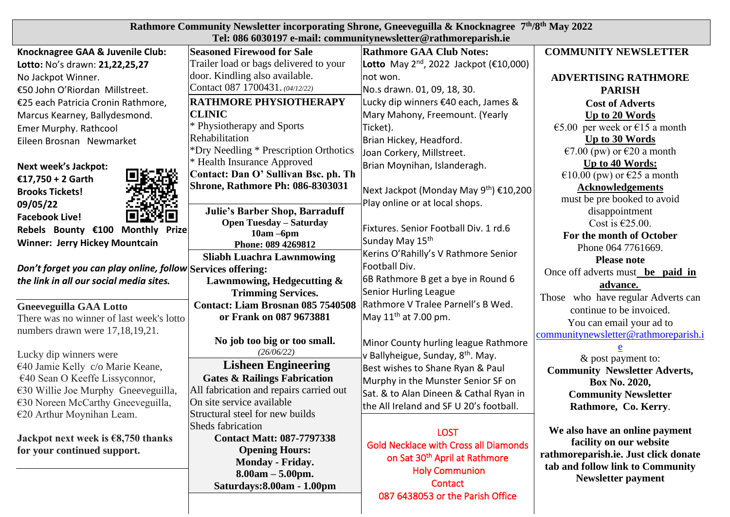| Rathmore Community Newsletter incorporating Shrone, Gneeveguilla & Knocknagree 7th/8th May 2022<br>Tel: 086 6030197 e-mail: communitynewsletter@rathmoreparish.ie                 |  |  |  |
|-----------------------------------------------------------------------------------------------------------------------------------------------------------------------------------|--|--|--|
| <b>COMMUNITY NEWSLETTER</b><br><b>Seasoned Firewood for Sale</b><br><b>Rathmore GAA Club Notes:</b><br>Knocknagree GAA & Juvenile Club:                                           |  |  |  |
| Trailer load or bags delivered to your<br><b>Lotto</b> May 2 <sup>nd</sup> , 2022 Jackpot ( $\epsilon$ 10,000)<br>Lotto: No's drawn: 21,22,25,27                                  |  |  |  |
| door. Kindling also available.<br>No Jackpot Winner.<br>not won.<br><b>ADVERTISING RATHMORE</b>                                                                                   |  |  |  |
| Contact 087 1700431. (04/12/22)<br>No.s drawn. 01, 09, 18, 30.<br>€50 John O'Riordan Millstreet.<br><b>PARISH</b>                                                                 |  |  |  |
| <b>RATHMORE PHYSIOTHERAPY</b><br>Lucky dip winners €40 each, James &<br>€25 each Patricia Cronin Rathmore,<br><b>Cost of Adverts</b>                                              |  |  |  |
| <b>CLINIC</b><br>Mary Mahony, Freemount. (Yearly<br>Up to 20 Words<br>Marcus Kearney, Ballydesmond.                                                                               |  |  |  |
| * Physiotherapy and Sports<br>€5.00 per week or €15 a month<br>Ticket).<br>Emer Murphy. Rathcool                                                                                  |  |  |  |
| Rehabilitation<br>Up to 30 Words<br>Brian Hickey, Headford.<br>Eileen Brosnan Newmarket                                                                                           |  |  |  |
| *Dry Needling * Prescription Orthotics<br>€7.00 (pw) or €20 a month<br>Joan Corkery, Millstreet.                                                                                  |  |  |  |
| * Health Insurance Approved<br>Up to 40 Words:<br>Brian Moynihan, Islanderagh.<br>Next week's Jackpot:                                                                            |  |  |  |
| Contact: Dan O' Sullivan Bsc. ph. Th<br>€10.00 (pw) or €25 a month<br>€17,750 + 2 Garth                                                                                           |  |  |  |
| <b>Shrone, Rathmore Ph: 086-8303031</b><br><b>Acknowledgements</b><br>Next Jackpot (Monday May 9 <sup>th</sup> ) €10,200<br><b>Brooks Tickets!</b>                                |  |  |  |
| must be pre booked to avoid<br>Play online or at local shops.<br>09/05/22                                                                                                         |  |  |  |
| Julie's Barber Shop, Barraduff<br>disappointment<br><b>Facebook Live!</b>                                                                                                         |  |  |  |
| <b>Open Tuesday - Saturday</b><br>Cost is $\epsilon$ 25.00.<br>Fixtures. Senior Football Div. 1 rd.6<br>Rebels Bounty €100 Monthly Prize<br>$10am - 6pm$                          |  |  |  |
| For the month of October<br>Sunday May 15th<br><b>Winner: Jerry Hickey Mountcain</b><br>Phone: 089 4269812                                                                        |  |  |  |
| Phone 064 7761669.<br>Kerins O'Rahilly's V Rathmore Senior<br><b>Sliabh Luachra Lawnmowing</b><br><b>Please note</b>                                                              |  |  |  |
| Football Div.<br>Don't forget you can play online, follow Services offering:<br>Once off adverts must be paid in                                                                  |  |  |  |
| 6B Rathmore B get a bye in Round 6<br>the link in all our social media sites.<br>Lawnmowing, Hedgecutting &                                                                       |  |  |  |
| advance.<br><b>Senior Hurling League</b><br><b>Trimming Services.</b>                                                                                                             |  |  |  |
| Those who have regular Adverts can<br>Rathmore V Tralee Parnell's B Wed.<br><b>Contact: Liam Brosnan 085 7540508</b><br><b>Gneeveguilla GAA Lotto</b><br>continue to be invoiced. |  |  |  |
| or Frank on 087 9673881<br>May $11th$ at 7.00 pm.<br>There was no winner of last week's lotto<br>You can email your ad to                                                         |  |  |  |
| numbers drawn were 17,18,19,21.<br>communitynewsletter@rathmoreparish.i                                                                                                           |  |  |  |
| No job too big or too small.<br>Minor County hurling league Rathmore                                                                                                              |  |  |  |
| (26/06/22)<br>Lucky dip winners were<br>v Ballyheigue, Sunday, 8 <sup>th</sup> . May.<br>& post payment to:                                                                       |  |  |  |
| <b>Lisheen Engineering</b><br>€40 Jamie Kelly c/o Marie Keane,<br>Best wishes to Shane Ryan & Paul<br><b>Community Newsletter Adverts,</b>                                        |  |  |  |
| €40 Sean O Keeffe Lissyconnor,<br><b>Gates &amp; Railings Fabrication</b><br>Murphy in the Munster Senior SF on<br>Box No. 2020,                                                  |  |  |  |
| All fabrication and repairs carried out<br>$\epsilon$ 30 Willie Joe Murphy Gneeveguilla,<br>Sat. & to Alan Dineen & Cathal Ryan in<br><b>Community Newsletter</b>                 |  |  |  |
| On site service available<br>$\epsilon$ 30 Noreen McCarthy Gneeveguilla,<br>the All Ireland and SF U 20's football.<br>Rathmore, Co. Kerry.                                       |  |  |  |
| Structural steel for new builds<br>$€20$ Arthur Moynihan Leam.                                                                                                                    |  |  |  |
| <b>Sheds fabrication</b><br>We also have an online payment<br><b>LOST</b>                                                                                                         |  |  |  |
| <b>Contact Matt: 087-7797338</b><br>Jackpot next week is $\epsilon$ 8,750 thanks<br>facility on our website<br><b>Gold Necklace with Cross all Diamonds</b>                       |  |  |  |
| for your continued support.<br><b>Opening Hours:</b><br>rathmoreparish.ie. Just click donate<br>on Sat 30 <sup>th</sup> April at Rathmore<br>Monday - Friday.                     |  |  |  |
| tab and follow link to Community<br><b>Holy Communion</b><br>$8.00am - 5.00pm.$                                                                                                   |  |  |  |
| <b>Newsletter payment</b><br>Contact<br>Saturdays: 8.00am - 1.00pm                                                                                                                |  |  |  |
| 087 6438053 or the Parish Office                                                                                                                                                  |  |  |  |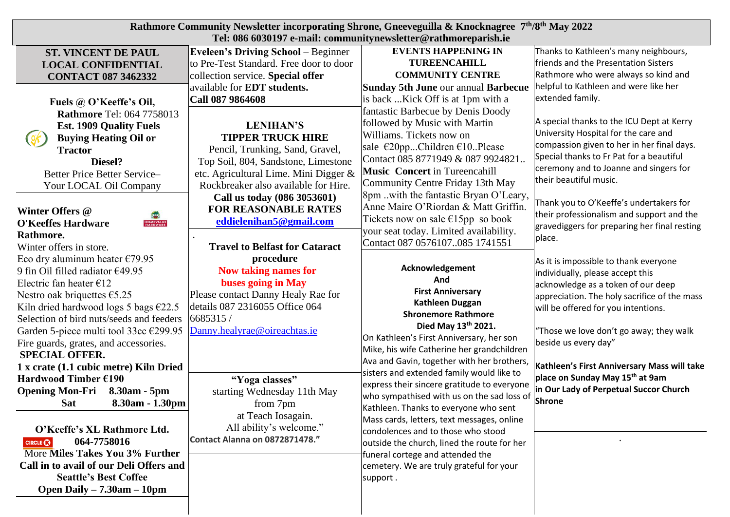| Rathmore Community Newsletter incorporating Shrone, Gneeveguilla & Knocknagree 7 <sup>th</sup> /8 <sup>th</sup> May 2022<br>Tel: 086 6030197 e-mail: communitynewsletter@rathmoreparish.ie |                                            |                                             |                                                                  |  |
|--------------------------------------------------------------------------------------------------------------------------------------------------------------------------------------------|--------------------------------------------|---------------------------------------------|------------------------------------------------------------------|--|
| <b>ST. VINCENT DE PAUL</b>                                                                                                                                                                 | <b>Eveleen's Driving School</b> – Beginner | <b>EVENTS HAPPENING IN</b>                  | Thanks to Kathleen's many neighbours,                            |  |
| <b>LOCAL CONFIDENTIAL</b>                                                                                                                                                                  | to Pre-Test Standard. Free door to door    | <b>TUREENCAHILL</b>                         | friends and the Presentation Sisters                             |  |
| <b>CONTACT 087 3462332</b>                                                                                                                                                                 | collection service. Special offer          | <b>COMMUNITY CENTRE</b>                     | Rathmore who were always so kind and                             |  |
|                                                                                                                                                                                            | available for EDT students.                | Sunday 5th June our annual Barbecue         | helpful to Kathleen and were like her                            |  |
| Fuels @ O'Keeffe's Oil,                                                                                                                                                                    | Call 087 9864608                           | is back Kick Off is at 1pm with a           | extended family.                                                 |  |
| <b>Rathmore Tel: 064 7758013</b>                                                                                                                                                           |                                            | fantastic Barbecue by Denis Doody           |                                                                  |  |
| <b>Est. 1909 Quality Fuels</b>                                                                                                                                                             | <b>LENIHAN'S</b>                           | followed by Music with Martin               | A special thanks to the ICU Dept at Kerry                        |  |
| <b>Buying Heating Oil or</b>                                                                                                                                                               | <b>TIPPER TRUCK HIRE</b>                   | Williams. Tickets now on                    | University Hospital for the care and                             |  |
| <b>Tractor</b>                                                                                                                                                                             | Pencil, Trunking, Sand, Gravel,            | sale €20ppChildren €10Please                | compassion given to her in her final days.                       |  |
| Diesel?                                                                                                                                                                                    | Top Soil, 804, Sandstone, Limestone        | Contact 085 8771949 & 087 9924821.          | Special thanks to Fr Pat for a beautiful                         |  |
| Better Price Better Service-                                                                                                                                                               | etc. Agricultural Lime. Mini Digger &      | <b>Music Concert in Tureencahill</b>        | ceremony and to Joanne and singers for<br>their beautiful music. |  |
| Your LOCAL Oil Company                                                                                                                                                                     | Rockbreaker also available for Hire.       | Community Centre Friday 13th May            |                                                                  |  |
|                                                                                                                                                                                            | Call us today (086 3053601)                | 8pm with the fantastic Bryan O'Leary,       | Thank you to O'Keeffe's undertakers for                          |  |
| Winter Offers @                                                                                                                                                                            | <b>FOR REASONABLE RATES</b>                | Anne Maire O'Riordan & Matt Griffin.        | their professionalism and support and the                        |  |
| <b>HOMEVALUE</b><br>HARDWARE<br><b>O'Keeffes Hardware</b>                                                                                                                                  | eddielenihan5@gmail.com                    | Tickets now on sale $\epsilon$ 15pp so book | gravediggers for preparing her final resting                     |  |
| Rathmore.                                                                                                                                                                                  |                                            | your seat today. Limited availability.      | place.                                                           |  |
| Winter offers in store.                                                                                                                                                                    | <b>Travel to Belfast for Cataract</b>      | Contact 087 0576107085 1741551              |                                                                  |  |
| Eco dry aluminum heater $\epsilon$ 79.95                                                                                                                                                   | procedure                                  |                                             | As it is impossible to thank everyone                            |  |
| 9 fin Oil filled radiator €49.95                                                                                                                                                           | Now taking names for                       | Acknowledgement                             | individually, please accept this                                 |  |
| Electric fan heater $\epsilon$ 12                                                                                                                                                          | buses going in May                         | And                                         | acknowledge as a token of our deep                               |  |
| Nestro oak briquettes $\epsilon$ 5.25                                                                                                                                                      | Please contact Danny Healy Rae for         | <b>First Anniversary</b><br>Kathleen Duggan | appreciation. The holy sacrifice of the mass                     |  |
| Kiln dried hardwood logs 5 bags $\epsilon$ 22.5                                                                                                                                            | details 087 2316055 Office 064             | <b>Shronemore Rathmore</b>                  | will be offered for you intentions.                              |  |
| Selection of bird nuts/seeds and feeders                                                                                                                                                   | 6685315 /                                  | Died May 13th 2021.                         |                                                                  |  |
| Garden 5-piece multi tool 33cc €299.95                                                                                                                                                     | Danny.healyrae@oireachtas.ie               | On Kathleen's First Anniversary, her son    | "Those we love don't go away; they walk                          |  |
| Fire guards, grates, and accessories.                                                                                                                                                      |                                            | Mike, his wife Catherine her grandchildren  | beside us every day"                                             |  |
| <b>SPECIAL OFFER.</b>                                                                                                                                                                      |                                            | Ava and Gavin, together with her brothers,  |                                                                  |  |
| 1 x crate (1.1 cubic metre) Kiln Dried                                                                                                                                                     |                                            | sisters and extended family would like to   | Kathleen's First Anniversary Mass will take                      |  |
| Hardwood Timber $£190$                                                                                                                                                                     | "Yoga classes"                             | express their sincere gratitude to everyone | place on Sunday May 15 <sup>th</sup> at 9am                      |  |
| <b>Opening Mon-Fri</b><br>8.30am - 5pm                                                                                                                                                     | starting Wednesday 11th May                | who sympathised with us on the sad loss of  | in Our Lady of Perpetual Succor Church<br>Shrone                 |  |
| 8.30am - 1.30pm<br><b>Sat</b>                                                                                                                                                              | from 7pm                                   | Kathleen. Thanks to everyone who sent       |                                                                  |  |
|                                                                                                                                                                                            | at Teach Iosagain.                         | Mass cards, letters, text messages, online  |                                                                  |  |
| O'Keeffe's XL Rathmore Ltd.                                                                                                                                                                | All ability's welcome."                    | condolences and to those who stood          |                                                                  |  |
| 064-7758016<br><b>CIRCLE CO</b>                                                                                                                                                            | Contact Alanna on 0872871478."             | outside the church, lined the route for her |                                                                  |  |
| More Miles Takes You 3% Further                                                                                                                                                            |                                            | funeral cortege and attended the            |                                                                  |  |
| Call in to avail of our Deli Offers and                                                                                                                                                    |                                            | cemetery. We are truly grateful for your    |                                                                  |  |
| <b>Seattle's Best Coffee</b>                                                                                                                                                               |                                            | support.                                    |                                                                  |  |
| Open Daily $-7.30$ am $-10$ pm                                                                                                                                                             |                                            |                                             |                                                                  |  |